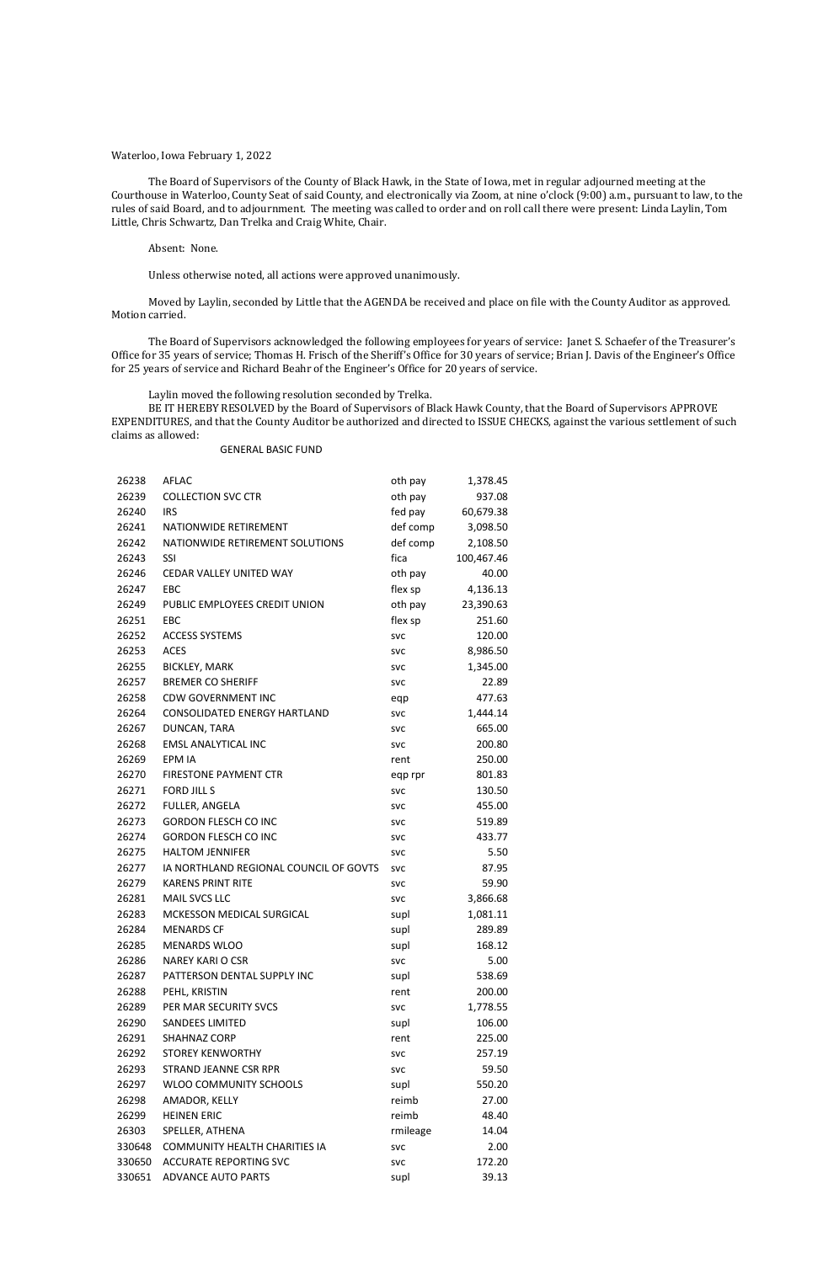## Waterloo, Iowa February 1, 2022

The Board of Supervisors of the County of Black Hawk, in the State of Iowa, met in regular adjourned meeting at the Courthouse in Waterloo, County Seat of said County, and electronically via Zoom, at nine o'clock (9:00) a.m., pursuant to law, to the rules of said Board, and to adjournment. The meeting was called to order and on roll call there were present: Linda Laylin, Tom Little, Chris Schwartz, Dan Trelka and Craig White, Chair.

## Absent: None.

Unless otherwise noted, all actions were approved unanimously.

Moved by Laylin, seconded by Little that the AGENDA be received and place on file with the County Auditor as approved. Motion carried.

The Board of Supervisors acknowledged the following employees for years of service: Janet S. Schaefer of the Treasurer's Office for 35 years of service; Thomas H. Frisch of the Sheriff's Office for 30 years of service; Brian J. Davis of the Engineer's Office for 25 years of service and Richard Beahr of the Engineer's Office for 20 years of service.

Laylin moved the following resolution seconded by Trelka.

BE IT HEREBY RESOLVED by the Board of Supervisors of Black Hawk County, that the Board of Supervisors APPROVE EXPENDITURES, and that the County Auditor be authorized and directed to ISSUE CHECKS, against the various settlement of such claims as allowed:

## GENERAL BASIC FUND

| 26238  | <b>AFLAC</b>                           | oth pay    | 1,378.45   |
|--------|----------------------------------------|------------|------------|
| 26239  | <b>COLLECTION SVC CTR</b>              | oth pay    | 937.08     |
| 26240  | <b>IRS</b>                             | fed pay    | 60,679.38  |
| 26241  | NATIONWIDE RETIREMENT                  | def comp   | 3,098.50   |
| 26242  | NATIONWIDE RETIREMENT SOLUTIONS        | def comp   | 2,108.50   |
| 26243  | SSI                                    | fica       | 100,467.46 |
| 26246  | CEDAR VALLEY UNITED WAY                | oth pay    | 40.00      |
| 26247  | EBC                                    | flex sp    | 4,136.13   |
| 26249  | PUBLIC EMPLOYEES CREDIT UNION          | oth pay    | 23,390.63  |
| 26251  | <b>EBC</b>                             | flex sp    | 251.60     |
| 26252  | <b>ACCESS SYSTEMS</b>                  | <b>SVC</b> | 120.00     |
| 26253  | <b>ACES</b>                            | <b>SVC</b> | 8,986.50   |
| 26255  | <b>BICKLEY, MARK</b>                   | <b>SVC</b> | 1,345.00   |
| 26257  | <b>BREMER CO SHERIFF</b>               | <b>SVC</b> | 22.89      |
| 26258  | <b>CDW GOVERNMENT INC</b>              | eqp        | 477.63     |
| 26264  | <b>CONSOLIDATED ENERGY HARTLAND</b>    | <b>SVC</b> | 1,444.14   |
| 26267  | DUNCAN, TARA                           | <b>SVC</b> | 665.00     |
| 26268  | <b>EMSL ANALYTICAL INC</b>             | <b>SVC</b> | 200.80     |
| 26269  | EPM IA                                 | rent       | 250.00     |
| 26270  | <b>FIRESTONE PAYMENT CTR</b>           | eqp rpr    | 801.83     |
| 26271  | <b>FORD JILL S</b>                     | <b>SVC</b> | 130.50     |
| 26272  | FULLER, ANGELA                         | <b>SVC</b> | 455.00     |
| 26273  | <b>GORDON FLESCH CO INC</b>            | <b>SVC</b> | 519.89     |
| 26274  | <b>GORDON FLESCH CO INC</b>            | <b>SVC</b> | 433.77     |
| 26275  | <b>HALTOM JENNIFER</b>                 | <b>SVC</b> | 5.50       |
| 26277  | IA NORTHLAND REGIONAL COUNCIL OF GOVTS | <b>SVC</b> | 87.95      |
| 26279  | <b>KARENS PRINT RITE</b>               | <b>SVC</b> | 59.90      |
| 26281  | <b>MAIL SVCS LLC</b>                   | <b>SVC</b> | 3,866.68   |
| 26283  | MCKESSON MEDICAL SURGICAL              | supl       | 1,081.11   |
| 26284  | <b>MENARDS CF</b>                      | supl       | 289.89     |
| 26285  | <b>MENARDS WLOO</b>                    | supl       | 168.12     |
| 26286  | <b>NAREY KARLO CSR</b>                 | <b>SVC</b> | 5.00       |
| 26287  | PATTERSON DENTAL SUPPLY INC            | supl       | 538.69     |
| 26288  | PEHL, KRISTIN                          | rent       | 200.00     |
| 26289  | PER MAR SECURITY SVCS                  | <b>SVC</b> | 1,778.55   |
| 26290  | <b>SANDEES LIMITED</b>                 | supl       | 106.00     |
| 26291  | <b>SHAHNAZ CORP</b>                    | rent       | 225.00     |
| 26292  | <b>STOREY KENWORTHY</b>                | <b>SVC</b> | 257.19     |
| 26293  | STRAND JEANNE CSR RPR                  | <b>SVC</b> | 59.50      |
| 26297  | WLOO COMMUNITY SCHOOLS                 | supl       | 550.20     |
| 26298  | AMADOR, KELLY                          | reimb      | 27.00      |
| 26299  | <b>HEINEN ERIC</b>                     | reimb      | 48.40      |
| 26303  | SPELLER, ATHENA                        | rmileage   | 14.04      |
| 330648 | <b>COMMUNITY HEALTH CHARITIES IA</b>   | <b>SVC</b> | 2.00       |
| 330650 | <b>ACCURATE REPORTING SVC</b>          | <b>SVC</b> | 172.20     |
| 330651 | <b>ADVANCE AUTO PARTS</b>              | supl       | 39.13      |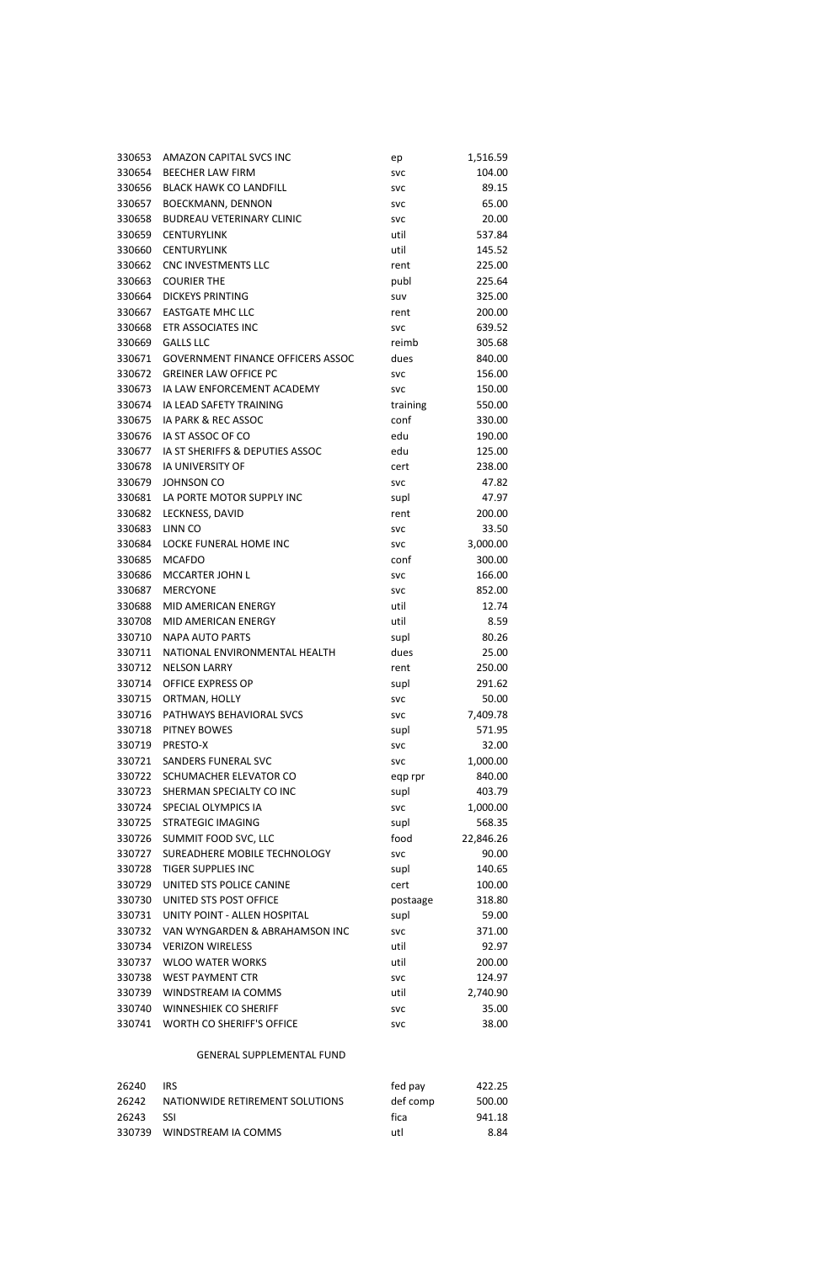| 330653 | AMAZON CAPITAL SVCS INC                  | ep         | 1,516.59  |
|--------|------------------------------------------|------------|-----------|
| 330654 | <b>BEECHER LAW FIRM</b>                  | <b>SVC</b> | 104.00    |
| 330656 | <b>BLACK HAWK CO LANDFILL</b>            | <b>SVC</b> | 89.15     |
| 330657 | <b>BOECKMANN, DENNON</b>                 | <b>SVC</b> | 65.00     |
| 330658 | <b>BUDREAU VETERINARY CLINIC</b>         | <b>SVC</b> | 20.00     |
| 330659 | <b>CENTURYLINK</b>                       | util       | 537.84    |
| 330660 | <b>CENTURYLINK</b>                       | util       | 145.52    |
| 330662 | CNC INVESTMENTS LLC                      | rent       | 225.00    |
| 330663 | <b>COURIER THE</b>                       | publ       | 225.64    |
| 330664 | <b>DICKEYS PRINTING</b>                  | suv        | 325.00    |
| 330667 | <b>EASTGATE MHC LLC</b>                  | rent       | 200.00    |
| 330668 | ETR ASSOCIATES INC                       | <b>SVC</b> | 639.52    |
| 330669 | <b>GALLS LLC</b>                         | reimb      | 305.68    |
| 330671 | <b>GOVERNMENT FINANCE OFFICERS ASSOC</b> | dues       | 840.00    |
| 330672 | <b>GREINER LAW OFFICE PC</b>             | <b>SVC</b> | 156.00    |
| 330673 | IA LAW ENFORCEMENT ACADEMY               | <b>SVC</b> | 150.00    |
| 330674 | IA LEAD SAFETY TRAINING                  | training   | 550.00    |
| 330675 | IA PARK & REC ASSOC                      | conf       | 330.00    |
| 330676 | IA ST ASSOC OF CO                        | edu        | 190.00    |
| 330677 | IA ST SHERIFFS & DEPUTIES ASSOC          | edu        | 125.00    |
| 330678 | <b>IA UNIVERSITY OF</b>                  | cert       | 238.00    |
| 330679 | <b>JOHNSON CO</b>                        | <b>SVC</b> | 47.82     |
| 330681 | LA PORTE MOTOR SUPPLY INC                | supl       | 47.97     |
| 330682 | LECKNESS, DAVID                          | rent       | 200.00    |
| 330683 | LINN CO                                  | <b>SVC</b> | 33.50     |
| 330684 | LOCKE FUNERAL HOME INC                   | <b>SVC</b> | 3,000.00  |
| 330685 | <b>MCAFDO</b>                            | conf       | 300.00    |
| 330686 | <b>MCCARTER JOHN L</b>                   | <b>SVC</b> | 166.00    |
| 330687 | <b>MERCYONE</b>                          | <b>SVC</b> | 852.00    |
| 330688 | MID AMERICAN ENERGY                      | util       | 12.74     |
| 330708 | MID AMERICAN ENERGY                      | util       | 8.59      |
| 330710 | <b>NAPA AUTO PARTS</b>                   | supl       | 80.26     |
| 330711 | NATIONAL ENVIRONMENTAL HEALTH            | dues       | 25.00     |
| 330712 | <b>NELSON LARRY</b>                      | rent       | 250.00    |
| 330714 | <b>OFFICE EXPRESS OP</b>                 | supl       | 291.62    |
| 330715 | ORTMAN, HOLLY                            | <b>SVC</b> | 50.00     |
| 330716 | PATHWAYS BEHAVIORAL SVCS                 | <b>SVC</b> | 7,409.78  |
| 330718 | PITNEY BOWES                             | supl       | 571.95    |
| 330719 | PRESTO-X                                 | <b>SVC</b> | 32.00     |
| 330721 | <b>SANDERS FUNERAL SVC</b>               | <b>SVC</b> | 1,000.00  |
| 330722 | SCHUMACHER ELEVATOR CO                   | eqp rpr    | 840.00    |
| 330723 | SHERMAN SPECIALTY CO INC                 | supl       | 403.79    |
| 330724 | SPECIAL OLYMPICS IA                      | <b>SVC</b> | 1,000.00  |
| 330725 | STRATEGIC IMAGING                        | supl       | 568.35    |
| 330726 | SUMMIT FOOD SVC, LLC                     | food       | 22,846.26 |
| 330727 | SUREADHERE MOBILE TECHNOLOGY             | <b>SVC</b> | 90.00     |
| 330728 | <b>TIGER SUPPLIES INC</b>                | supl       | 140.65    |
| 330729 | UNITED STS POLICE CANINE                 | cert       | 100.00    |
| 330730 | UNITED STS POST OFFICE                   | postaage   | 318.80    |
| 330731 | UNITY POINT - ALLEN HOSPITAL             | supl       | 59.00     |
| 330732 | VAN WYNGARDEN & ABRAHAMSON INC           | <b>SVC</b> | 371.00    |
| 330734 | <b>VERIZON WIRELESS</b>                  | util       | 92.97     |
| 330737 | <b>WLOO WATER WORKS</b>                  | util       | 200.00    |
| 330738 | WEST PAYMENT CTR                         | <b>SVC</b> | 124.97    |
| 330739 | WINDSTREAM IA COMMS                      | util       | 2,740.90  |
| 330740 | <b>WINNESHIEK CO SHERIFF</b>             | <b>SVC</b> | 35.00     |
| 330741 | WORTH CO SHERIFF'S OFFICE                | <b>SVC</b> | 38.00     |

# GENERAL SUPPLEMENTAL FUND

| 26240 | <b>IRS</b>                      | fed pay  | 422.25 |
|-------|---------------------------------|----------|--------|
| 26242 | NATIONWIDE RETIREMENT SOLUTIONS | def comp | 500.00 |
| 26243 | - 99                            | fica     | 941.18 |
|       | 330739 WINDSTREAM IA COMMS      | utl      | 8.84   |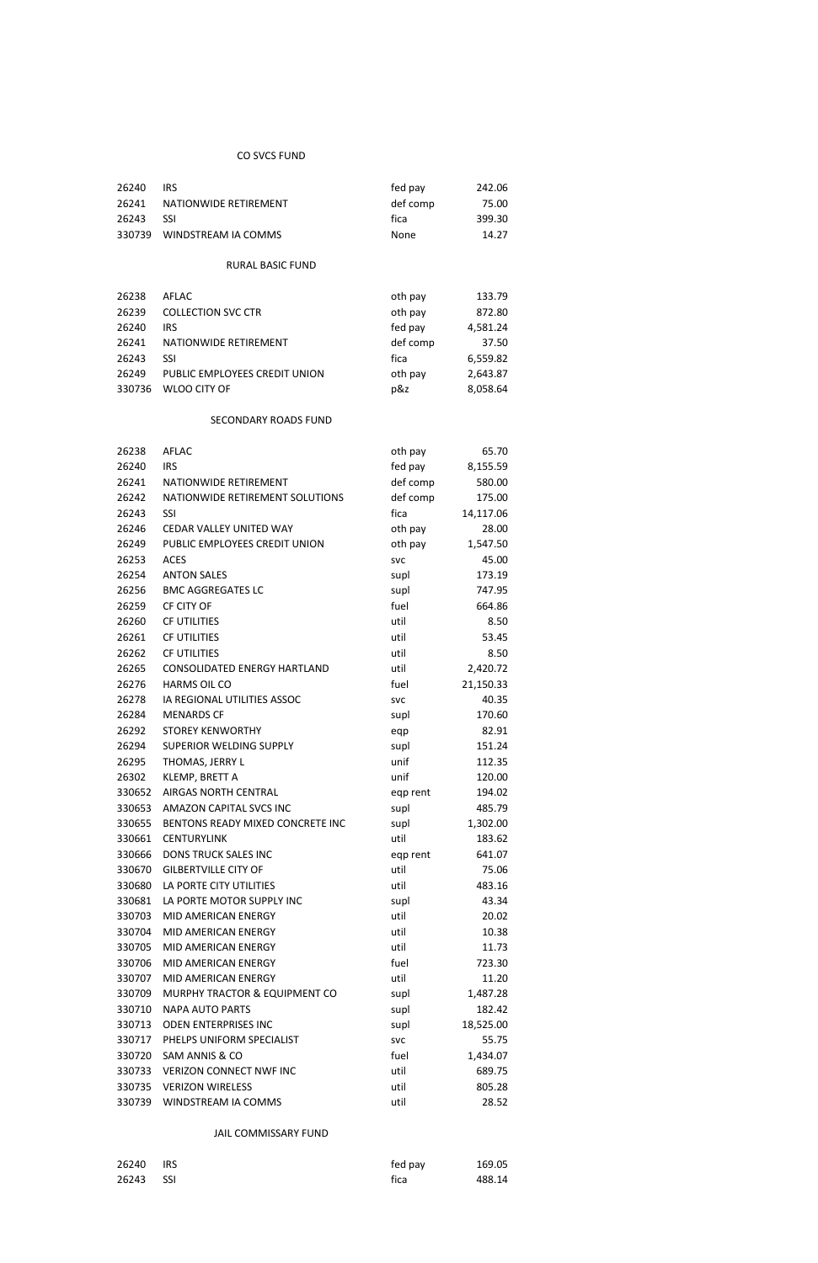# CO SVCS FUND

| 26240 | <b>IRS</b>                 | fed pay  | 242.06 |
|-------|----------------------------|----------|--------|
| 26241 | NATIONWIDE RETIREMENT      | def comp | 75.00  |
| 26243 | -SSI                       | fica     | 399.30 |
|       | 330739 WINDSTREAM IA COMMS | None     | 14.27  |

# RURAL BASIC FUND

| 26238  | AFLAC                         | oth pay  | 133.79   |
|--------|-------------------------------|----------|----------|
| 26239  | <b>COLLECTION SVC CTR</b>     | oth pay  | 872.80   |
| 26240  | <b>IRS</b>                    | fed pay  | 4,581.24 |
| 26241  | NATIONWIDE RETIREMENT         | def comp | 37.50    |
| 26243  | SSI                           | fica     | 6,559.82 |
| 26249  | PUBLIC EMPLOYEES CREDIT UNION | oth pay  | 2,643.87 |
| 330736 | WLOO CITY OF                  | p&z      | 8,058.64 |

# SECONDARY ROADS FUND

| 26238  | <b>AFLAC</b>                        | oth pay    | 65.70     |
|--------|-------------------------------------|------------|-----------|
| 26240  | <b>IRS</b>                          | fed pay    | 8,155.59  |
| 26241  | NATIONWIDE RETIREMENT               | def comp   | 580.00    |
| 26242  | NATIONWIDE RETIREMENT SOLUTIONS     | def comp   | 175.00    |
| 26243  | SSI                                 | fica       | 14,117.06 |
| 26246  | CEDAR VALLEY UNITED WAY             | oth pay    | 28.00     |
| 26249  | PUBLIC EMPLOYEES CREDIT UNION       | oth pay    | 1,547.50  |
| 26253  | <b>ACES</b>                         | <b>SVC</b> | 45.00     |
| 26254  | <b>ANTON SALES</b>                  | supl       | 173.19    |
| 26256  | <b>BMC AGGREGATES LC</b>            | supl       | 747.95    |
| 26259  | CF CITY OF                          | fuel       | 664.86    |
| 26260  | <b>CF UTILITIES</b>                 | util       | 8.50      |
| 26261  | <b>CF UTILITIES</b>                 | util       | 53.45     |
| 26262  | <b>CF UTILITIES</b>                 | util       | 8.50      |
| 26265  | <b>CONSOLIDATED ENERGY HARTLAND</b> | util       | 2,420.72  |
| 26276  | <b>HARMS OIL CO</b>                 | fuel       | 21,150.33 |
| 26278  | IA REGIONAL UTILITIES ASSOC         | <b>SVC</b> | 40.35     |
| 26284  | <b>MENARDS CF</b>                   | supl       | 170.60    |
| 26292  | <b>STOREY KENWORTHY</b>             | eqp        | 82.91     |
| 26294  | SUPERIOR WELDING SUPPLY             | supl       | 151.24    |
| 26295  | THOMAS, JERRY L                     | unif       | 112.35    |
| 26302  | KLEMP, BRETT A                      | unif       | 120.00    |
| 330652 | <b>AIRGAS NORTH CENTRAL</b>         | eqp rent   | 194.02    |
| 330653 | AMAZON CAPITAL SVCS INC             | supl       | 485.79    |
| 330655 | BENTONS READY MIXED CONCRETE INC    | supl       | 1,302.00  |
| 330661 | <b>CENTURYLINK</b>                  | util       | 183.62    |
| 330666 | <b>DONS TRUCK SALES INC</b>         | eqp rent   | 641.07    |
| 330670 | <b>GILBERTVILLE CITY OF</b>         | util       | 75.06     |
| 330680 | LA PORTE CITY UTILITIES             | util       | 483.16    |
| 330681 | LA PORTE MOTOR SUPPLY INC           | supl       | 43.34     |
| 330703 | <b>MID AMERICAN ENERGY</b>          | util       | 20.02     |
| 330704 | MID AMERICAN ENERGY                 | util       | 10.38     |
| 330705 | <b>MID AMERICAN ENERGY</b>          | util       | 11.73     |
| 330706 | MID AMERICAN ENERGY                 | fuel       | 723.30    |
| 330707 | MID AMERICAN ENERGY                 | util       | 11.20     |
| 330709 | MURPHY TRACTOR & EQUIPMENT CO       | supl       | 1,487.28  |
| 330710 | <b>NAPA AUTO PARTS</b>              | supl       | 182.42    |
| 330713 | <b>ODEN ENTERPRISES INC</b>         | supl       | 18,525.00 |
| 330717 | PHELPS UNIFORM SPECIALIST           | <b>SVC</b> | 55.75     |
| 330720 | SAM ANNIS & CO                      | fuel       | 1,434.07  |
| 330733 | <b>VERIZON CONNECT NWF INC</b>      | util       | 689.75    |
| 330735 | <b>VERIZON WIRELESS</b>             | util       | 805.28    |
| 330739 | WINDSTREAM IA COMMS                 | util       | 28.52     |

## JAIL COMMISSARY FUND

| 26240 | <b>IRS</b> | fed pay | 169.05 |
|-------|------------|---------|--------|
| 26243 | SSI SSI    | fica    | 488.14 |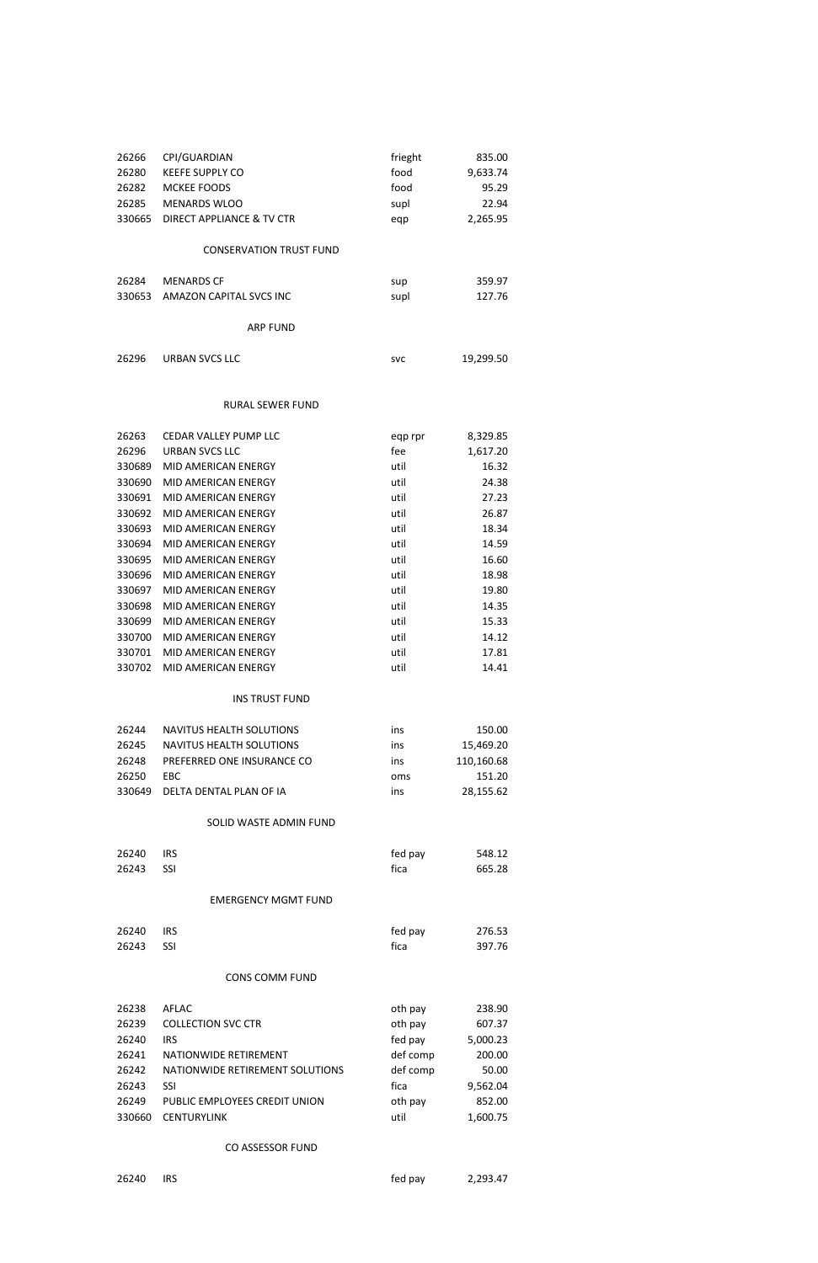| 26266  | CPI/GUARDIAN                   | frieght | 835.00   |
|--------|--------------------------------|---------|----------|
| 26280  | <b>KEEFE SUPPLY CO</b>         | food    | 9,633.74 |
| 26282  | <b>MCKEE FOODS</b>             | food    | 95.29    |
| 26285  | <b>MENARDS WLOO</b>            | supl    | 22.94    |
| 330665 | DIRECT APPLIANCE & TV CTR      | eqp     | 2,265.95 |
|        | <b>CONSERVATION TRUST FUND</b> |         |          |
| 26284  | <b>MENARDS CF</b>              | sup     | 359.97   |
| 330653 | AMAZON CAPITAL SVCS INC        | supl    | 127.76   |
|        | <b>ARP FUND</b>                |         |          |

26296 URBAN SVCS LLC svc 500 svc 19,299.50

## RURAL SEWER FUND

| 26263  | CEDAR VALLEY PUMP LLC |         |          |
|--------|-----------------------|---------|----------|
|        |                       | eqp rpr | 8,329.85 |
| 26296  | URBAN SVCS LLC        | fee     | 1,617.20 |
| 330689 | MID AMERICAN ENERGY   | util    | 16.32    |
| 330690 | MID AMERICAN ENERGY   | util    | 24.38    |
| 330691 | MID AMERICAN ENERGY   | util    | 27.23    |
| 330692 | MID AMERICAN ENERGY   | util    | 26.87    |
| 330693 | MID AMERICAN ENERGY   | util    | 18.34    |
| 330694 | MID AMERICAN ENERGY   | util    | 14.59    |
| 330695 | MID AMERICAN ENERGY   | util    | 16.60    |
| 330696 | MID AMERICAN ENERGY   | util    | 18.98    |
| 330697 | MID AMERICAN ENERGY   | util    | 19.80    |
| 330698 | MID AMERICAN ENERGY   | util    | 14.35    |
| 330699 | MID AMERICAN ENERGY   | util    | 15.33    |
| 330700 | MID AMERICAN ENERGY   | util    | 14.12    |
| 330701 | MID AMERICAN ENERGY   | util    | 17.81    |
| 330702 | MID AMERICAN ENERGY   | util    | 14.41    |
|        |                       |         |          |

# INS TRUST FUND

| 26244  | NAVITUS HEALTH SOLUTIONS   | ins | 150.00     |
|--------|----------------------------|-----|------------|
| 26245  | NAVITUS HEALTH SOLUTIONS   | ins | 15,469.20  |
| 26248  | PREFERRED ONE INSURANCE CO | ins | 110.160.68 |
| 26250  | EBC.                       | oms | 151.20     |
| 330649 | DELTA DENTAL PLAN OF IA    | ins | 28,155.62  |

# SOLID WASTE ADMIN FUND

| 26240 IRS | fed pay | 548.12 |
|-----------|---------|--------|
| 26243 SSI | fica    | 665.28 |

# EMERGENCY MGMT FUND

| $0.0010$ $0.00$ |  | $\sim$ $\sim$ | $\sim$ $\sim$ $\sim$ $\sim$ |
|-----------------|--|---------------|-----------------------------|

| 26240     | <b>IRS</b> | fed pay | 276.53 |
|-----------|------------|---------|--------|
| 26243 SSI |            | fica    | 397.76 |

# CONS COMM FUND

| 26238  | <b>AFLAC</b>                    | oth pay  | 238.90   |
|--------|---------------------------------|----------|----------|
| 26239  | <b>COLLECTION SVC CTR</b>       | oth pay  | 607.37   |
| 26240  | <b>IRS</b>                      | fed pay  | 5,000.23 |
| 26241  | NATIONWIDE RETIREMENT           | def comp | 200.00   |
| 26242  | NATIONWIDE RETIREMENT SOLUTIONS | def comp | 50.00    |
| 26243  | SSI                             | fica     | 9,562.04 |
| 26249  | PUBLIC EMPLOYEES CREDIT UNION   | oth pay  | 852.00   |
| 330660 | <b>CENTURYLINK</b>              | util     | 1,600.75 |

# CO ASSESSOR FUND

IRS fed pay 2,293.47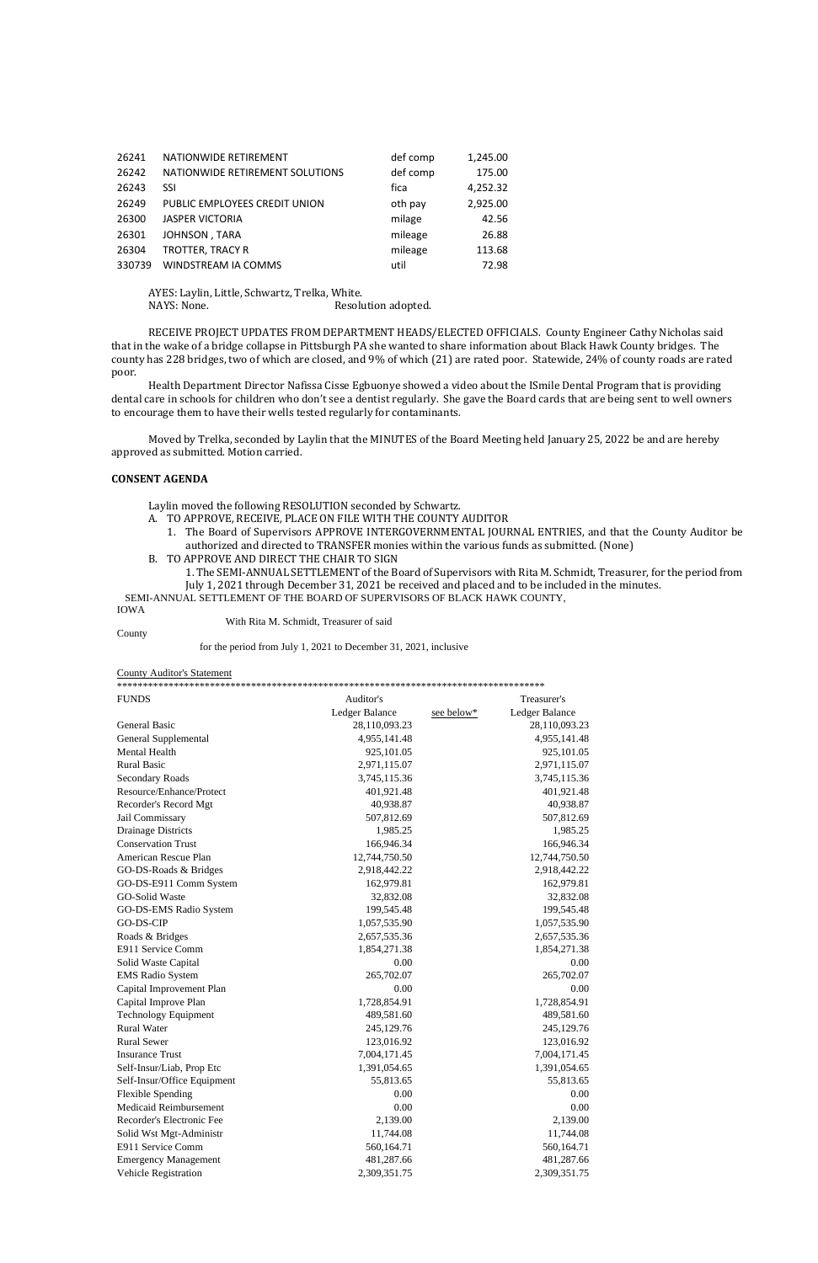| 26241  | NATIONWIDE RETIREMENT           | def comp | 1,245.00 |
|--------|---------------------------------|----------|----------|
| 26242  | NATIONWIDE RETIREMENT SOLUTIONS | def comp | 175.00   |
| 26243  | SSI                             | fica     | 4,252.32 |
| 26249  | PUBLIC EMPLOYEES CREDIT UNION   | oth pay  | 2,925.00 |
| 26300  | <b>JASPER VICTORIA</b>          | milage   | 42.56    |
| 26301  | JOHNSON, TARA                   | mileage  | 26.88    |
| 26304  | TROTTER, TRACY R                | mileage  | 113.68   |
| 330739 | WINDSTREAM IA COMMS             | util     | 72.98    |

AYES: Laylin, Little, Schwartz, Trelka, White. NAYS: None. Resolution adopted.

RECEIVE PROJECT UPDATES FROM DEPARTMENT HEADS/ELECTED OFFICIALS. County Engineer Cathy Nicholas said that in the wake of a bridge collapse in Pittsburgh PA she wanted to share information about Black Hawk County bridges. The county has 228 bridges, two of which are closed, and 9% of which (21) are rated poor. Statewide, 24% of county roads are rated poor.

Health Department Director Nafissa Cisse Egbuonye showed a video about the ISmile Dental Program that is providing dental care in schools for children who don't see a dentist regularly. She gave the Board cards that are being sent to well owners to encourage them to have their wells tested regularly for contaminants.

Moved by Trelka, seconded by Laylin that the MINUTES of the Board Meeting held January 25, 2022 be and are hereby approved as submitted. Motion carried.

#### **CONSENT AGENDA**

Laylin moved the following RESOLUTION seconded by Schwartz.

- A. TO APPROVE, RECEIVE, PLACE ON FILE WITH THE COUNTY AUDITOR
	- 1. The Board of Supervisors APPROVE INTERGOVERNMENTAL JOURNAL ENTRIES, and that the County Auditor be authorized and directed to TRANSFER monies within the various funds as submitted. (None)
- B. TO APPROVE AND DIRECT THE CHAIR TO SIGN
- 1. The SEMI-ANNUAL SETTLEMENT of the Board of Supervisors with Rita M. Schmidt, Treasurer, for the period from July 1, 2021 through December 31, 2021 be received and placed and to be included in the minutes.

SEMI-ANNUAL SETTLEMENT OF THE BOARD OF SUPERVISORS OF BLACK HAWK COUNTY,

#### IOWA

With Rita M. Schmidt, Treasurer of said

County

for the period from July 1, 2021 to December 31, 2021, inclusive

County Auditor's Statement

| <b>FUNDS</b>                | Auditor's      | Treasurer's                  |  |  |  |
|-----------------------------|----------------|------------------------------|--|--|--|
|                             | Ledger Balance | Ledger Balance<br>see below* |  |  |  |
| <b>General Basic</b>        | 28,110,093.23  | 28,110,093.23                |  |  |  |
| <b>General Supplemental</b> | 4,955,141.48   | 4,955,141.48                 |  |  |  |
| Mental Health               | 925,101.05     | 925,101.05                   |  |  |  |
| <b>Rural Basic</b>          | 2,971,115.07   | 2,971,115.07                 |  |  |  |
| <b>Secondary Roads</b>      | 3,745,115.36   | 3,745,115.36                 |  |  |  |
| Resource/Enhance/Protect    | 401,921.48     | 401,921.48                   |  |  |  |
| Recorder's Record Mgt       | 40,938.87      | 40,938.87                    |  |  |  |
| Jail Commissary             | 507,812.69     | 507,812.69                   |  |  |  |
| <b>Drainage Districts</b>   | 1,985.25       | 1,985.25                     |  |  |  |
| <b>Conservation Trust</b>   | 166,946.34     | 166,946.34                   |  |  |  |
| American Rescue Plan        | 12,744,750.50  | 12,744,750.50                |  |  |  |
| GO-DS-Roads & Bridges       | 2,918,442.22   | 2,918,442.22                 |  |  |  |
| GO-DS-E911 Comm System      | 162,979.81     | 162,979.81                   |  |  |  |
| <b>GO-Solid Waste</b>       | 32,832.08      | 32,832.08                    |  |  |  |
| GO-DS-EMS Radio System      | 199,545.48     | 199,545.48                   |  |  |  |
| GO-DS-CIP                   | 1,057,535.90   | 1,057,535.90                 |  |  |  |
| Roads & Bridges             | 2,657,535.36   | 2,657,535.36                 |  |  |  |
| E911 Service Comm           | 1,854,271.38   | 1,854,271.38                 |  |  |  |
| Solid Waste Capital         | 0.00           | 0.00                         |  |  |  |
| <b>EMS</b> Radio System     | 265,702.07     | 265,702.07                   |  |  |  |
| Capital Improvement Plan    | 0.00           | 0.00                         |  |  |  |
| Capital Improve Plan        | 1,728,854.91   | 1,728,854.91                 |  |  |  |
| <b>Technology Equipment</b> | 489,581.60     | 489,581.60                   |  |  |  |
| <b>Rural Water</b>          | 245,129.76     | 245,129.76                   |  |  |  |
| <b>Rural Sewer</b>          | 123,016.92     | 123,016.92                   |  |  |  |
| <b>Insurance Trust</b>      | 7,004,171.45   | 7,004,171.45                 |  |  |  |
| Self-Insur/Liab, Prop Etc   | 1,391,054.65   | 1,391,054.65                 |  |  |  |
| Self-Insur/Office Equipment | 55,813.65      | 55,813.65                    |  |  |  |
| <b>Flexible Spending</b>    | 0.00           | 0.00                         |  |  |  |
| Medicaid Reimbursement      | 0.00           | 0.00                         |  |  |  |
| Recorder's Electronic Fee   | 2,139.00       | 2,139.00                     |  |  |  |
| Solid Wst Mgt-Administr     | 11,744.08      | 11,744.08                    |  |  |  |
| E911 Service Comm           | 560,164.71     | 560,164.71                   |  |  |  |
| <b>Emergency Management</b> | 481,287.66     | 481,287.66                   |  |  |  |
| Vehicle Registration        | 2,309,351.75   | 2,309,351.75                 |  |  |  |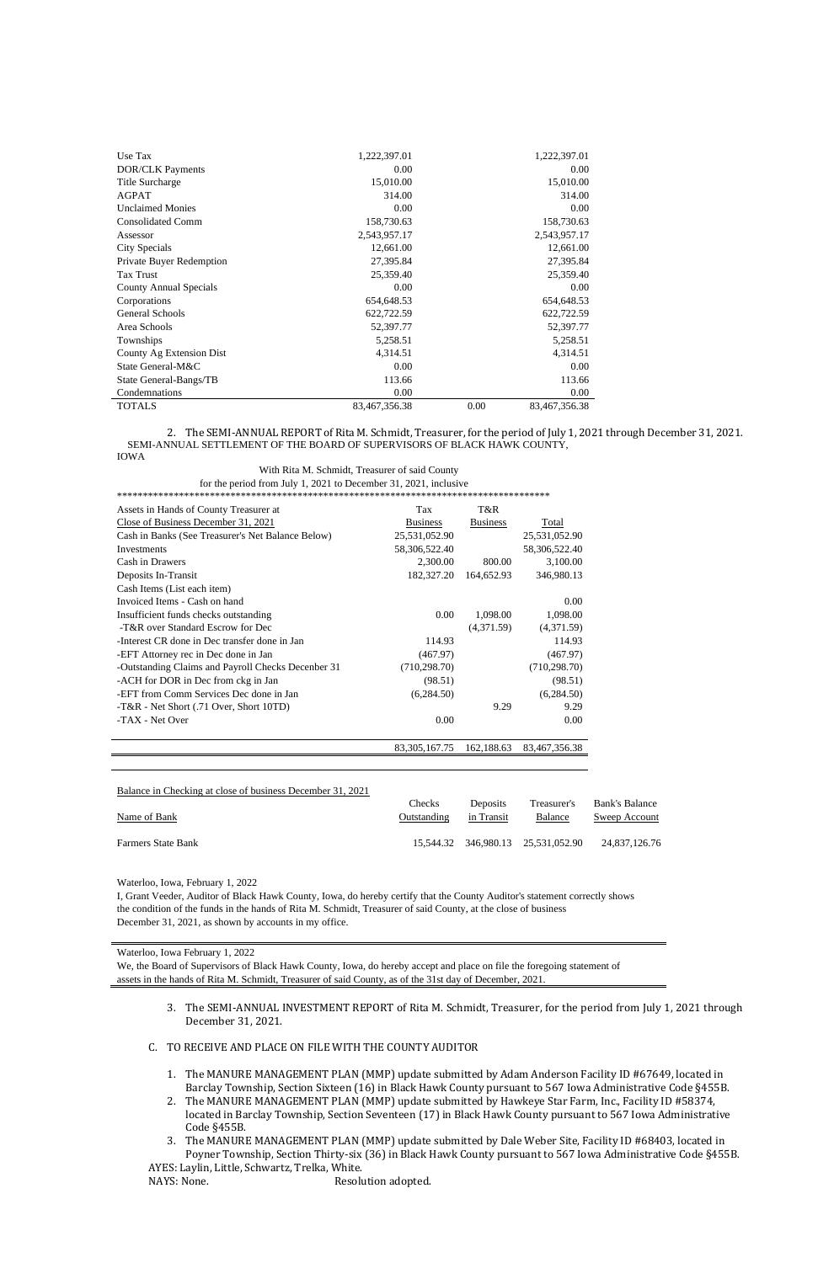| Use Tax                  | 1,222,397.01  |      | 1,222,397.01  |
|--------------------------|---------------|------|---------------|
| <b>DOR/CLK Payments</b>  | 0.00          |      | 0.00          |
| <b>Title Surcharge</b>   | 15,010.00     |      | 15,010.00     |
| <b>AGPAT</b>             | 314.00        |      | 314.00        |
| <b>Unclaimed Monies</b>  | 0.00          |      | 0.00          |
| <b>Consolidated Comm</b> | 158,730.63    |      | 158,730.63    |
| Assessor                 | 2,543,957.17  |      | 2,543,957.17  |
| City Specials            | 12,661.00     |      | 12,661.00     |
| Private Buyer Redemption | 27,395.84     |      | 27,395.84     |
| <b>Tax Trust</b>         | 25,359.40     |      | 25,359.40     |
| County Annual Specials   | 0.00          |      | 0.00          |
| Corporations             | 654,648.53    |      | 654,648.53    |
| <b>General Schools</b>   | 622,722.59    |      | 622,722.59    |
| Area Schools             | 52,397.77     |      | 52,397.77     |
| Townships                | 5,258.51      |      | 5,258.51      |
| County Ag Extension Dist | 4,314.51      |      | 4,314.51      |
| State General-M&C        | 0.00          |      | 0.00          |
| State General-Bangs/TB   | 113.66        |      | 113.66        |
| Condemnations            | 0.00          |      | 0.00          |
| <b>TOTALS</b>            | 83,467,356.38 | 0.00 | 83,467,356.38 |

2. The SEMI-ANNUAL REPORT of Rita M. Schmidt, Treasurer, for the period of July 1, 2021 through December 31, 2021. SEMI-ANNUAL SETTLEMENT OF THE BOARD OF SUPERVISORS OF BLACK HAWK COUNTY,

IOWA

 With Rita M. Schmidt, Treasurer of said County for the period from July 1, 2021 to December 31, 2021, inclusive

\*\*\*\*\*\*\*\*\*\*\*\*\*\*\*\*\*\*\*\*\*\*\*\*\*\*\*\*\*\*\*\*\*\*\*\*\*\*\*\*\*\*\*\*\*\*\*\*\*\*\*\*\*\*\*\*\*\*\*\*\*\*\*\*\*\*\*\*\*\*\*\*\*\*\*\*\*\*\*\*\*\*\*\*

| Assets in Hands of County Treasurer at             | Tax              | T&R             |               |
|----------------------------------------------------|------------------|-----------------|---------------|
| Close of Business December 31, 2021                | <b>Business</b>  | <b>Business</b> | Total         |
| Cash in Banks (See Treasurer's Net Balance Below)  | 25,531,052.90    |                 | 25,531,052.90 |
| Investments                                        | 58,306,522.40    |                 | 58,306,522.40 |
| Cash in Drawers                                    | 2,300.00         | 800.00          | 3,100.00      |
| Deposits In-Transit                                | 182,327.20       | 164,652.93      | 346,980.13    |
| Cash Items (List each item)                        |                  |                 |               |
| Invoiced Items - Cash on hand                      |                  |                 | 0.00          |
| Insufficient funds checks outstanding              | 0.00             | 1,098.00        | 1,098.00      |
| -T&R over Standard Escrow for Dec                  |                  | (4,371.59)      | (4,371.59)    |
| -Interest CR done in Dec transfer done in Jan      | 114.93           |                 | 114.93        |
| -EFT Attorney rec in Dec done in Jan               | (467.97)         |                 | (467.97)      |
| -Outstanding Claims and Payroll Checks Decenber 31 | (710, 298.70)    |                 | (710, 298.70) |
| -ACH for DOR in Dec from ckg in Jan                | (98.51)          |                 | (98.51)       |
| -EFT from Comm Services Dec done in Jan            | (6,284.50)       |                 | (6,284.50)    |
| -T&R - Net Short (.71 Over, Short 10TD)            |                  | 9.29            | 9.29          |
| -TAX - Net Over                                    | 0.00             |                 | 0.00          |
|                                                    |                  |                 |               |
|                                                    | 83, 305, 167. 75 | 162,188.63      | 83,467,356.38 |

| Balance in Checking at close of business December 31, 2021 |                    |            |                                    |                |
|------------------------------------------------------------|--------------------|------------|------------------------------------|----------------|
|                                                            | Checks             | Deposits   | Treasurer's                        | Bank's Balance |
| Name of Bank                                               | <b>Outstanding</b> | in Transit | <b>Balance</b>                     | Sweep Account  |
| <b>Farmers State Bank</b>                                  |                    |            | 15,544.32 346,980.13 25,531,052.90 | 24.837.126.76  |

Waterloo, Iowa, February 1, 2022

I, Grant Veeder, Auditor of Black Hawk County, Iowa, do hereby certify that the County Auditor's statement correctly shows the condition of the funds in the hands of Rita M. Schmidt, Treasurer of said County, at the close of business December 31, 2021, as shown by accounts in my office.

Waterloo, Iowa February 1, 2022

We, the Board of Supervisors of Black Hawk County, Iowa, do hereby accept and place on file the foregoing statement of

assets in the hands of Rita M. Schmidt, Treasurer of said County, as of the 31st day of December, 2021.

- 3. The SEMI-ANNUAL INVESTMENT REPORT of Rita M. Schmidt, Treasurer, for the period from July 1, 2021 through December 31, 2021.
- C. TO RECEIVE AND PLACE ON FILE WITH THE COUNTY AUDITOR
	- 1. The MANURE MANAGEMENT PLAN (MMP) update submitted by Adam Anderson Facility ID #67649, located in Barclay Township, Section Sixteen (16) in Black Hawk County pursuant to 567 Iowa Administrative Code §455B.
	- 2. The MANURE MANAGEMENT PLAN (MMP) update submitted by Hawkeye Star Farm, Inc., Facility ID #58374, located in Barclay Township, Section Seventeen (17) in Black Hawk County pursuant to 567 Iowa Administrative Code §455B.
- 3. The MANURE MANAGEMENT PLAN (MMP) update submitted by Dale Weber Site, Facility ID #68403, located in Poyner Township, Section Thirty-six (36) in Black Hawk County pursuant to 567 Iowa Administrative Code §455B. AYES: Laylin, Little, Schwartz, Trelka, White.

NAYS: None. The Resolution adopted.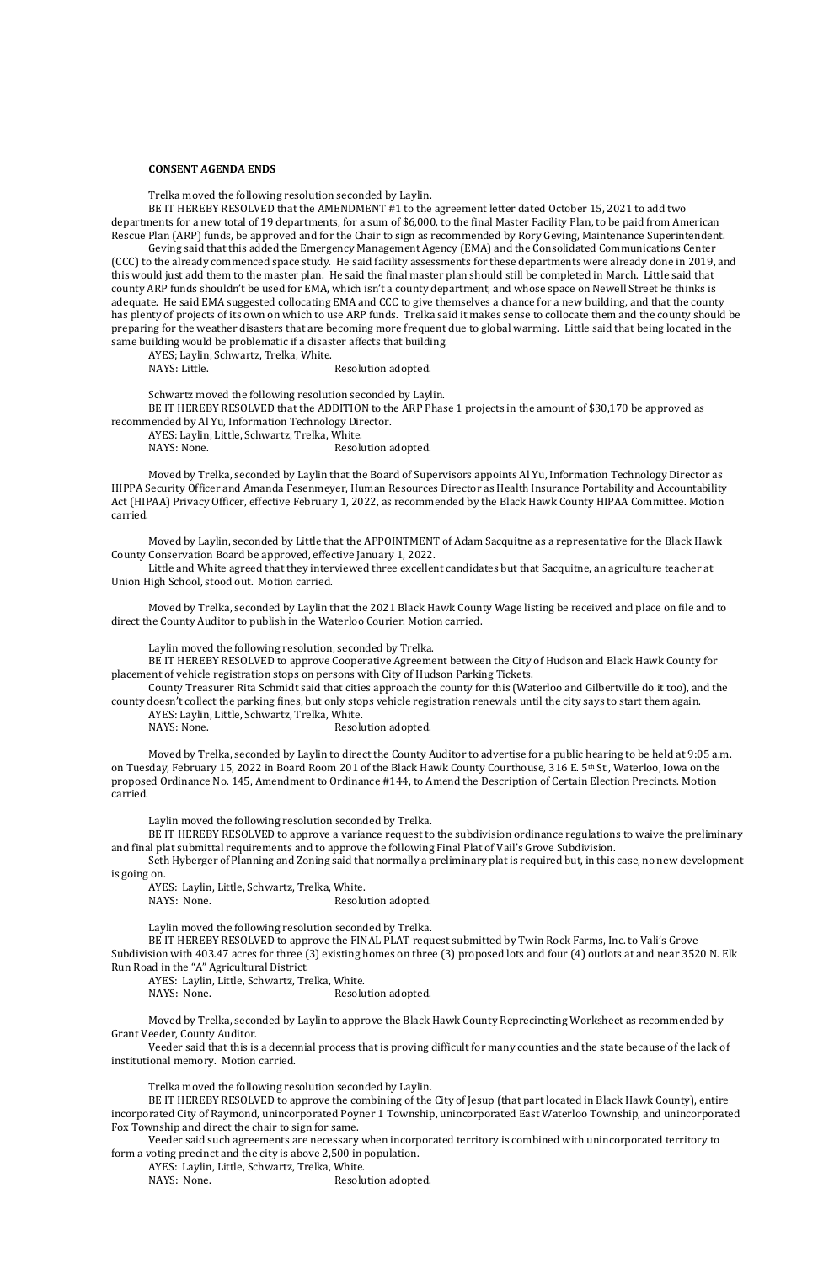## **CONSENT AGENDA ENDS**

Trelka moved the following resolution seconded by Laylin.

BE IT HEREBY RESOLVED that the AMENDMENT #1 to the agreement letter dated October 15, 2021 to add two departments for a new total of 19 departments, for a sum of \$6,000, to the final Master Facility Plan, to be paid from American Rescue Plan (ARP) funds, be approved and for the Chair to sign as recommended by Rory Geving, Maintenance Superintendent.

AYES; Laylin, Schwartz, Trelka, White. NAYS: Little. Resolution adopted.

Geving said that this added the Emergency Management Agency (EMA) and the Consolidated Communications Center (CCC) to the already commenced space study. He said facility assessments for these departments were already done in 2019, and this would just add them to the master plan. He said the final master plan should still be completed in March. Little said that county ARP funds shouldn't be used for EMA, which isn't a county department, and whose space on Newell Street he thinks is adequate. He said EMA suggested collocating EMA and CCC to give themselves a chance for a new building, and that the county has plenty of projects of its own on which to use ARP funds. Trelka said it makes sense to collocate them and the county should be preparing for the weather disasters that are becoming more frequent due to global warming. Little said that being located in the same building would be problematic if a disaster affects that building.

Schwartz moved the following resolution seconded by Laylin.

AYES: Laylin, Little, Schwartz, Trelka, White. NAYS: None. Resolution adopted.

BE IT HEREBY RESOLVED that the ADDITION to the ARP Phase 1 projects in the amount of \$30,170 be approved as recommended by Al Yu, Information Technology Director.

AYES: Laylin, Little, Schwartz, Trelka, White.

NAYS: None. Resolution adopted.

Moved by Trelka, seconded by Laylin that the Board of Supervisors appoints Al Yu, Information Technology Director as HIPPA Security Officer and Amanda Fesenmeyer, Human Resources Director as Health Insurance Portability and Accountability Act (HIPAA) Privacy Officer, effective February 1, 2022, as recommended by the Black Hawk County HIPAA Committee. Motion carried.

Moved by Laylin, seconded by Little that the APPOINTMENT of Adam Sacquitne as a representative for the Black Hawk County Conservation Board be approved, effective January 1, 2022.

Little and White agreed that they interviewed three excellent candidates but that Sacquitne, an agriculture teacher at Union High School, stood out. Motion carried.

Moved by Trelka, seconded by Laylin that the 2021 Black Hawk County Wage listing be received and place on file and to direct the County Auditor to publish in the Waterloo Courier. Motion carried.

Laylin moved the following resolution, seconded by Trelka.

BE IT HEREBY RESOLVED to approve Cooperative Agreement between the City of Hudson and Black Hawk County for placement of vehicle registration stops on persons with City of Hudson Parking Tickets.

County Treasurer Rita Schmidt said that cities approach the county for this (Waterloo and Gilbertville do it too), and the county doesn't collect the parking fines, but only stops vehicle registration renewals until the city says to start them again.

Moved by Trelka, seconded by Laylin to direct the County Auditor to advertise for a public hearing to be held at 9:05 a.m. on Tuesday, February 15, 2022 in Board Room 201 of the Black Hawk County Courthouse, 316 E. 5th St., Waterloo, Iowa on the proposed Ordinance No. 145, Amendment to Ordinance #144, to Amend the Description of Certain Election Precincts. Motion carried.

Laylin moved the following resolution seconded by Trelka.

BE IT HEREBY RESOLVED to approve a variance request to the subdivision ordinance regulations to waive the preliminary and final plat submittal requirements and to approve the following Final Plat of Vail's Grove Subdivision.

Seth Hyberger of Planning and Zoning said that normally a preliminary plat is required but, in this case, no new development is going on.

AYES: Laylin, Little, Schwartz, Trelka, White.

NAYS: None. Resolution adopted.

Laylin moved the following resolution seconded by Trelka.

BE IT HEREBY RESOLVED to approve the FINAL PLAT request submitted by Twin Rock Farms, Inc. to Vali's Grove Subdivision with 403.47 acres for three (3) existing homes on three (3) proposed lots and four (4) outlots at and near 3520 N. Elk Run Road in the "A" Agricultural District.

AYES: Laylin, Little, Schwartz, Trelka, White.

NAYS: None. Resolution adopted.

Moved by Trelka, seconded by Laylin to approve the Black Hawk County Reprecincting Worksheet as recommended by Grant Veeder, County Auditor.

Veeder said that this is a decennial process that is proving difficult for many counties and the state because of the lack of institutional memory. Motion carried.

Trelka moved the following resolution seconded by Laylin.

BE IT HEREBY RESOLVED to approve the combining of the City of Jesup (that part located in Black Hawk County), entire incorporated City of Raymond, unincorporated Poyner 1 Township, unincorporated East Waterloo Township, and unincorporated Fox Township and direct the chair to sign for same.

Veeder said such agreements are necessary when incorporated territory is combined with unincorporated territory to form a voting precinct and the city is above 2,500 in population.

AYES: Laylin, Little, Schwartz, Trelka, White.

NAYS: None. Resolution adopted.